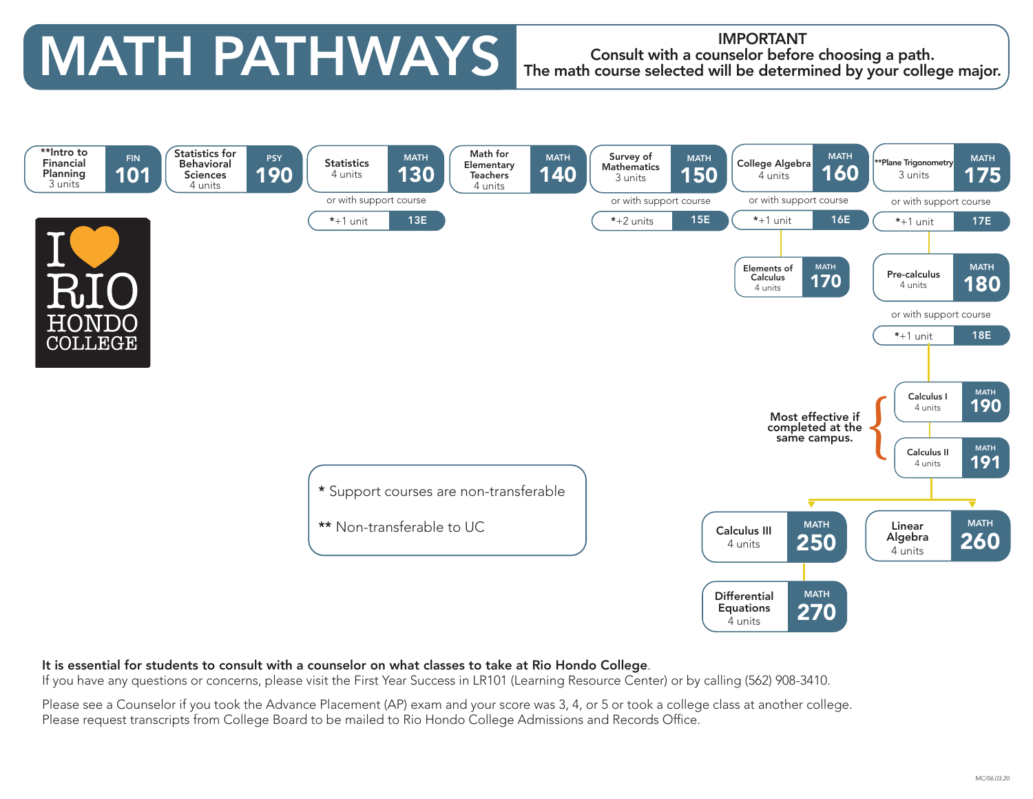# MATH PATHWAYS The math course selected will be determ

### Consult with a counselor before choosing a path. The math course selected will be determined by your college major.



#### It is essential for students to consult with a counselor on what classes to take at Rio Hondo College.

If you have any questions or concerns, please visit the First Year Success in LR101 (Learning Resource Center) or by calling (562) 908-3410.

Please see a Counselor if you took the Advance Placement (AP) exam and your score was 3, 4, or 5 or took a college class at another college. Please request transcripts from College Board to be mailed to Rio Hondo College Admissions and Records Office.